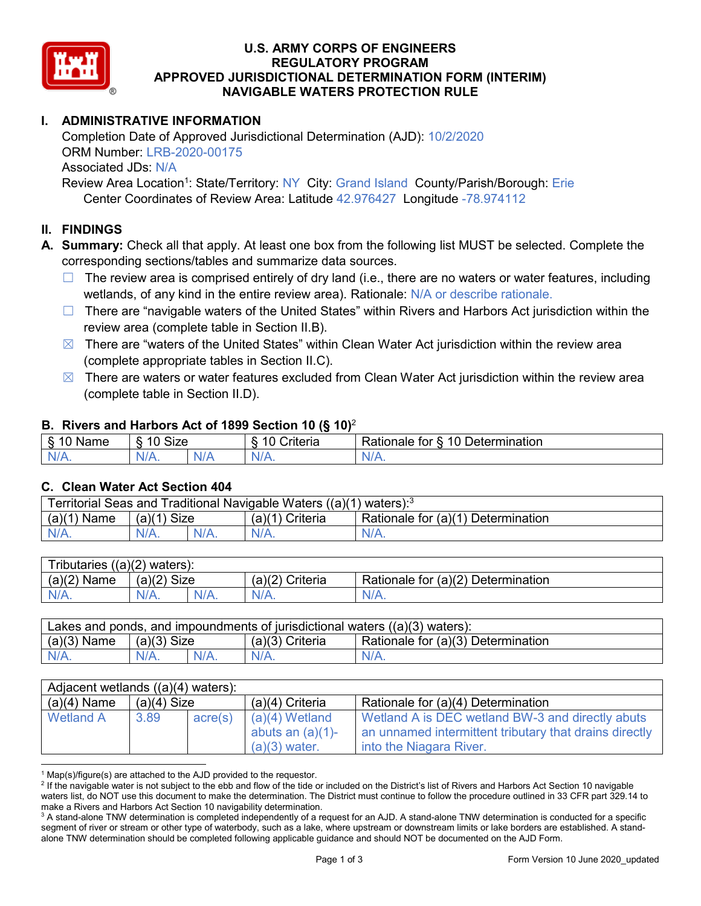

## **U.S. ARMY CORPS OF ENGINEERS REGULATORY PROGRAM APPROVED JURISDICTIONAL DETERMINATION FORM (INTERIM) NAVIGABLE WATERS PROTECTION RULE**

# **I. ADMINISTRATIVE INFORMATION**

Completion Date of Approved Jurisdictional Determination (AJD): 10/2/2020 ORM Number: LRB-2020-00175 Associated JDs: N/A Review Area Location<sup>1</sup>: State/Territory: NY City: Grand Island County/Parish/Borough: Erie

Center Coordinates of Review Area: Latitude 42.976427 Longitude -78.974112

## **II. FINDINGS**

**A. Summary:** Check all that apply. At least one box from the following list MUST be selected. Complete the corresponding sections/tables and summarize data sources.

- $\Box$  The review area is comprised entirely of dry land (i.e., there are no waters or water features, including wetlands, of any kind in the entire review area). Rationale: N/A or describe rationale.
- $\Box$  There are "navigable waters of the United States" within Rivers and Harbors Act jurisdiction within the review area (complete table in Section II.B).
- $\boxtimes$  There are "waters of the United States" within Clean Water Act jurisdiction within the review area (complete appropriate tables in Section II.C).
- $\boxtimes$  There are waters or water features excluded from Clean Water Act jurisdiction within the review area (complete table in Section II.D).

#### **B. Rivers and Harbors Act of 1899 Section 10 (§ 10)**<sup>2</sup>

| Name | <b>Size</b><br>10 |     | ≿rıterıa<br>$\sim$ | Determination<br>$\sqrt{a}$<br>tor<br>≺atıonale |  |
|------|-------------------|-----|--------------------|-------------------------------------------------|--|
| N/A. | $N/A$ .           | Wr. | $N/A$ .            | <b><i>All As</i></b>                            |  |

#### **C. Clean Water Act Section 404**

| Territorial Seas and Traditional Navigable Waters ((a)(1)<br>waters): <sup>3</sup> |                |  |                                |                                    |  |
|------------------------------------------------------------------------------------|----------------|--|--------------------------------|------------------------------------|--|
| (a)(1)<br>Name                                                                     | Size<br>(a)(1) |  | Criteria<br>(a)( <sup>4)</sup> | Rationale for (a)(1) Determination |  |
|                                                                                    | $N/A$ .        |  | $N/A$ .                        | $N/A$ .                            |  |

| Tributaries $((a)(2)$ waters): |               |         |                   |                                    |  |
|--------------------------------|---------------|---------|-------------------|------------------------------------|--|
| $(a)(2)$ Name                  | $(a)(2)$ Size |         | $(a)(2)$ Criteria | Rationale for (a)(2) Determination |  |
| $N/A$ .                        | $N/A$ .       | $N/A$ . | $N/A$ .           | $N/A$ .                            |  |

| Lakes and ponds, and impoundments of jurisdictional waters $((a)(3)$ waters): |               |  |                   |                                    |
|-------------------------------------------------------------------------------|---------------|--|-------------------|------------------------------------|
| $(a)(3)$ Name                                                                 | $(a)(3)$ Size |  | $(a)(3)$ Criteria | Rationale for (a)(3) Determination |
| $N/A$ .                                                                       | $N/A$ .       |  | $N/A$ .           | $N/A$ .                            |

| Adjacent wetlands $((a)(4)$ waters): |               |                  |                     |                                                        |  |
|--------------------------------------|---------------|------------------|---------------------|--------------------------------------------------------|--|
| $(a)(4)$ Name                        | $(a)(4)$ Size |                  | (a)(4) Criteria     | Rationale for (a)(4) Determination                     |  |
| Wetland A                            | 3.89          | $\text{acre}(s)$ | $(a)(4)$ Wetland    | Wetland A is DEC wetland BW-3 and directly abuts       |  |
|                                      |               |                  | abuts an $(a)(1)$ - | an unnamed intermittent tributary that drains directly |  |
|                                      |               |                  | $(a)(3)$ water.     | into the Niagara River.                                |  |

 $1$  Map(s)/figure(s) are attached to the AJD provided to the requestor.

<sup>&</sup>lt;sup>2</sup> If the navigable water is not subject to the ebb and flow of the tide or included on the District's list of Rivers and Harbors Act Section 10 navigable waters list, do NOT use this document to make the determination. The District must continue to follow the procedure outlined in 33 CFR part 329.14 to make a Rivers and Harbors Act Section 10 navigability determination.

<sup>&</sup>lt;sup>3</sup> A stand-alone TNW determination is completed independently of a request for an AJD. A stand-alone TNW determination is conducted for a specific segment of river or stream or other type of waterbody, such as a lake, where upstream or downstream limits or lake borders are established. A standalone TNW determination should be completed following applicable guidance and should NOT be documented on the AJD Form.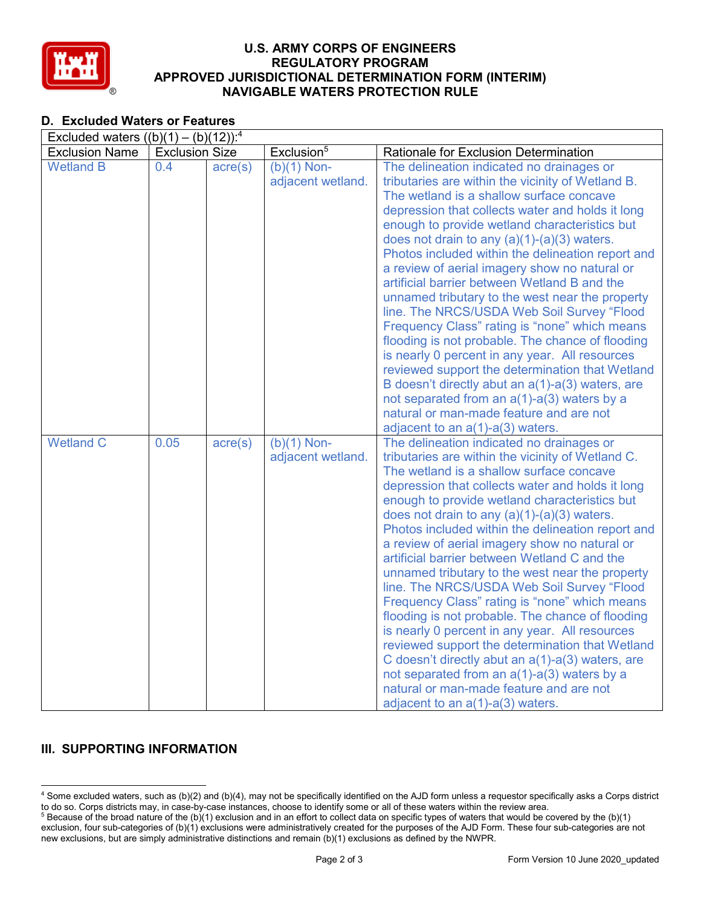

## **U.S. ARMY CORPS OF ENGINEERS REGULATORY PROGRAM APPROVED JURISDICTIONAL DETERMINATION FORM (INTERIM) NAVIGABLE WATERS PROTECTION RULE**

## **D. Excluded Waters or Features**

| Excluded waters $((b)(1) - (b)(12))$ : <sup>4</sup> |                       |                  |                                    |                                                                                                                                                                                                                                                                                                                                                                                                                                                                                                                                                                                                                                                                                                                                                                                                                                                                                                                                                                    |  |
|-----------------------------------------------------|-----------------------|------------------|------------------------------------|--------------------------------------------------------------------------------------------------------------------------------------------------------------------------------------------------------------------------------------------------------------------------------------------------------------------------------------------------------------------------------------------------------------------------------------------------------------------------------------------------------------------------------------------------------------------------------------------------------------------------------------------------------------------------------------------------------------------------------------------------------------------------------------------------------------------------------------------------------------------------------------------------------------------------------------------------------------------|--|
| <b>Exclusion Name</b>                               | <b>Exclusion Size</b> |                  | Exclusion <sup>5</sup>             | Rationale for Exclusion Determination                                                                                                                                                                                                                                                                                                                                                                                                                                                                                                                                                                                                                                                                                                                                                                                                                                                                                                                              |  |
| <b>Wetland B</b>                                    | 0.4                   | $\text{acre}(s)$ | $(b)(1)$ Non-<br>adjacent wetland. | The delineation indicated no drainages or<br>tributaries are within the vicinity of Wetland B.<br>The wetland is a shallow surface concave<br>depression that collects water and holds it long<br>enough to provide wetland characteristics but<br>does not drain to any $(a)(1)-(a)(3)$ waters.<br>Photos included within the delineation report and<br>a review of aerial imagery show no natural or<br>artificial barrier between Wetland B and the<br>unnamed tributary to the west near the property<br>line. The NRCS/USDA Web Soil Survey "Flood<br>Frequency Class" rating is "none" which means<br>flooding is not probable. The chance of flooding<br>is nearly 0 percent in any year. All resources<br>reviewed support the determination that Wetland<br>B doesn't directly abut an $a(1)$ -a(3) waters, are<br>not separated from an $a(1)$ - $a(3)$ waters by a<br>natural or man-made feature and are not<br>adjacent to an $a(1)$ - $a(3)$ waters. |  |
| <b>Wetland C</b>                                    | 0.05                  | $\text{acre}(s)$ | $(b)(1)$ Non-<br>adjacent wetland. | The delineation indicated no drainages or<br>tributaries are within the vicinity of Wetland C.<br>The wetland is a shallow surface concave<br>depression that collects water and holds it long<br>enough to provide wetland characteristics but<br>does not drain to any $(a)(1)-(a)(3)$ waters.<br>Photos included within the delineation report and<br>a review of aerial imagery show no natural or<br>artificial barrier between Wetland C and the<br>unnamed tributary to the west near the property<br>line. The NRCS/USDA Web Soil Survey "Flood<br>Frequency Class" rating is "none" which means<br>flooding is not probable. The chance of flooding<br>is nearly 0 percent in any year. All resources<br>reviewed support the determination that Wetland<br>C doesn't directly abut an a(1)-a(3) waters, are<br>not separated from an $a(1)$ - $a(3)$ waters by a<br>natural or man-made feature and are not<br>adjacent to an a(1)-a(3) waters.          |  |

## **III. SUPPORTING INFORMATION**

 <sup>4</sup> Some excluded waters, such as (b)(2) and (b)(4), may not be specifically identified on the AJD form unless a requestor specifically asks a Corps district to do so. Corps districts may, in case-by-case instances, choose to identify some or all of these waters within the review area.

<sup>&</sup>lt;sup>5</sup> Because of the broad nature of the (b)(1) exclusion and in an effort to collect data on specific types of waters that would be covered by the (b)(1) exclusion, four sub-categories of (b)(1) exclusions were administratively created for the purposes of the AJD Form. These four sub-categories are not new exclusions, but are simply administrative distinctions and remain (b)(1) exclusions as defined by the NWPR.